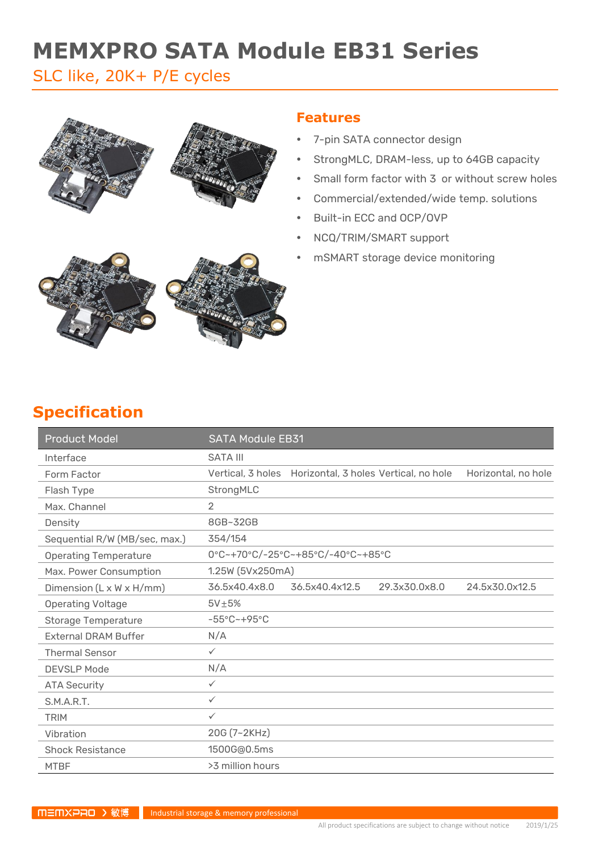# **MEMXPRO SATA Module EB31 Series**

# SLC like, 20K+ P/E cycles



### **Features**

- 7-pin SATA connector design
- StrongMLC, DRAM-less, up to 64GB capacity
- Small form factor with 3 or without screw holes
- Commercial/extended/wide temp. solutions
- Built-in ECC and OCP/OVP
- NCQ/TRIM/SMART support
- mSMART storage device monitoring



# **Specification**

| <b>Product Model</b>          | <b>SATA Module EB31</b>                                                        |
|-------------------------------|--------------------------------------------------------------------------------|
| Interface                     | <b>SATA III</b>                                                                |
| Form Factor                   | Vertical, 3 holes Horizontal, 3 holes Vertical, no hole<br>Horizontal, no hole |
| Flash Type                    | StrongMLC                                                                      |
| Max. Channel                  | $\overline{2}$                                                                 |
| Density                       | 8GB~32GB                                                                       |
| Sequential R/W (MB/sec, max.) | 354/154                                                                        |
| <b>Operating Temperature</b>  | 0°C~+70°C/-25°C~+85°C/-40°C~+85°C                                              |
| Max. Power Consumption        | 1.25W (5Vx250mA)                                                               |
| Dimension (L x W x H/mm)      | 36.5x40.4x8.0<br>36.5x40.4x12.5<br>29.3x30.0x8.0<br>24.5x30.0x12.5             |
| <b>Operating Voltage</b>      | $5V\pm5%$                                                                      |
| <b>Storage Temperature</b>    | $-55^{\circ}$ C ~ +95 $^{\circ}$ C                                             |
| <b>External DRAM Buffer</b>   | N/A                                                                            |
| <b>Thermal Sensor</b>         | $\checkmark$                                                                   |
| <b>DEVSLP Mode</b>            | N/A                                                                            |
| <b>ATA Security</b>           | $\checkmark$                                                                   |
| S.M.A.R.T.                    | $\checkmark$                                                                   |
| <b>TRIM</b>                   | $\checkmark$                                                                   |
| Vibration                     | 20G (7~2KHz)                                                                   |
| <b>Shock Resistance</b>       | 1500G@0.5ms                                                                    |
| <b>MTBF</b>                   | >3 million hours                                                               |